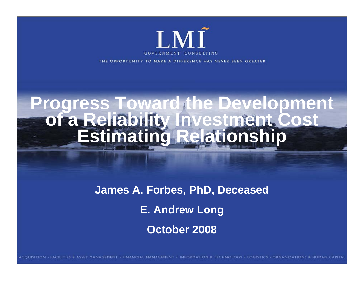

THE OPPORTUNITY TO MAKE A DIFFERENCE HAS NEVER REEN GREATER

# **Progress Toward the Development<br>
of a Reliability Investment Cost<br>
Estimating Relationship**

**James A. Forbes, PhD, Deceased E. Andrew Long October 2008**

AGEMENT • FINANCIAL MANAGEMENT • INFORMATION & TECHNOLOGY • LOGISTICS • ORGANIZATIONS & HUMAN CAPITA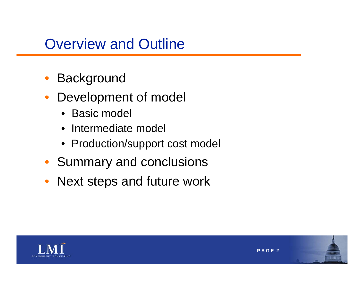## Overview and Outline

- •**Background**
- Development of model
	- Basic model
	- •Intermediate model
	- Production/support cost model
- Summary and conclusions
- Next steps and future work

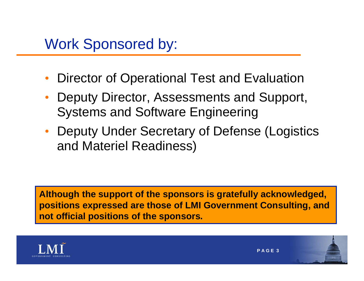## Work Sponsored by:

- $\bullet$ Director of Operational Test and Evaluation
- • Deputy Director, Assessments and Support, Systems and Software Engineering
- Deputy Under Secretary of Defense (Logistics and Materiel Readiness)

**Although the support of the sponsors is gratefully acknowledged, positions expressed are those of LMI Government Consulting, and not official positions of the sponsors.**

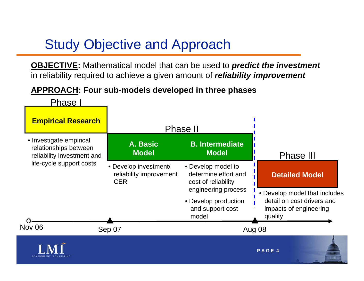## Study Objective and Approach

**OBJECTIVE :** Mathematical model that can be used to *predict the investment* in reliability required to achieve a given amount of *reliability improvement*

#### **APPROACH: Four sub-models developed in three phases**

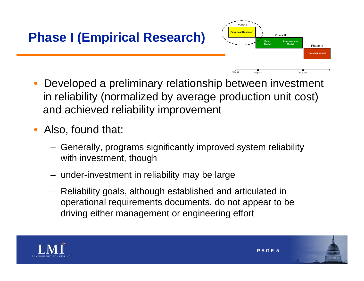## **Phase I (Empirical Research)**



- • Developed a preliminary relationship between investment in reliability (normalized by average production unit cost) and achieved reliability improvement
- • Also, found that:
	- Generally, programs significantly improved system reliability with investment, though
	- under-investment in reliability may be large
	- – Reliability goals, although established and articulated in operational requirements documents, do not appear to be driving either management or engineering effort

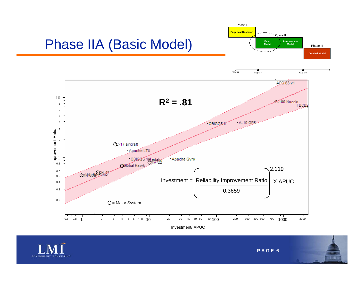



**P A G E 6**

mm

TIBUT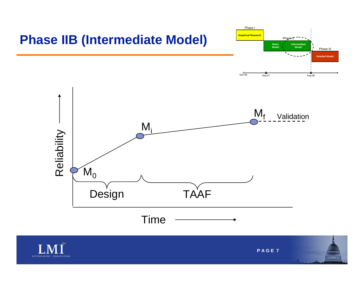



**P A G E 7**

mm

TIBUT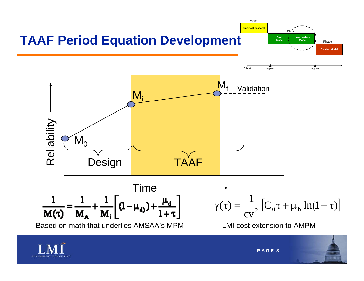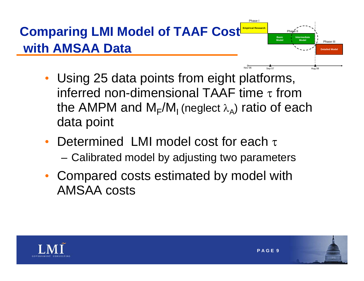## **Comparing LMI Model of TAAF Cost with AMSAA Data**

- Using 25 data points from eight platforms, inferred non-dimensional TAAF time  $\tau$  from the AMPM and  $M_F/M_I$  (neglect  $\lambda_A$ ) ratio of each data point
- Determined LMI model cost for each  $\tau$ **Links of the Company** Calibrated model by adjusting two parameters
- Compared costs estimated by model with AMSAA costs



Phase I

Nov 06

Phase

**Basic Model**

**Intermediat Model**

Phase III

**Detailed Model**

Aug 08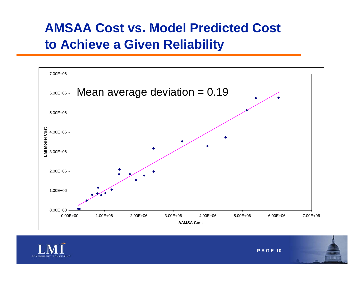#### **AMSAA Cost vs. Model Predicted Cost to Achieve a Given Reliability**





**P A G E 10**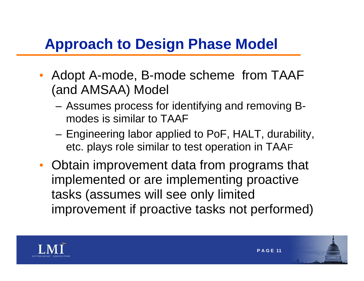## **Approach to Design Phase Model**

- Adopt A-mode, B-mode scheme from TAAF (and AMSAA) Model
	- – Assumes process for identifying and removing Bmodes is similar to TAAF
	- and the state of the Engineering labor applied to PoF, HALT, durability, etc. plays role similar to test operation in TAAF
- Obtain improvement data from programs that implemented or are implementing proactive tasks (assumes will see only limited improvement if proactive tasks not performed)

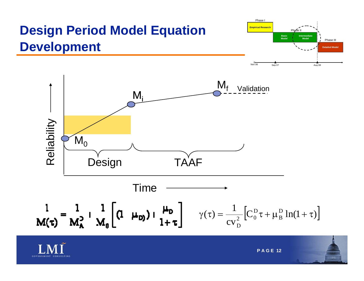

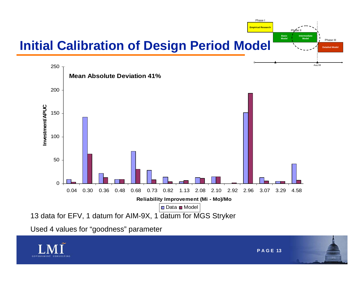

**P A G E 13**

11111

Used 4 values for "goodness" parameter

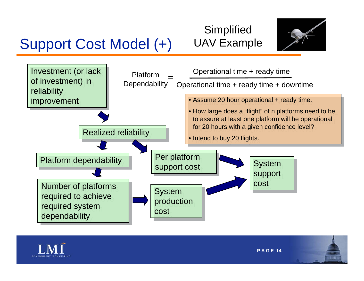## Support Cost Model (+)

#### **Simplified** UAV Example





![](_page_13_Picture_4.jpeg)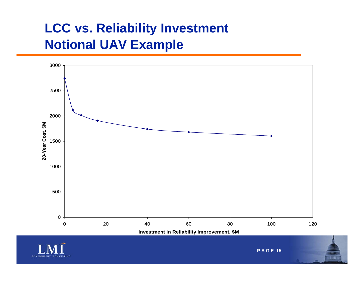### **LCC vs. Reliability Investment Notional UAV Example**

![](_page_14_Figure_1.jpeg)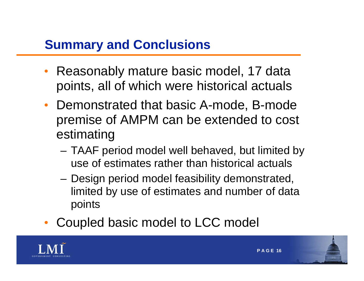#### **Summary and Conclusions**

- Reasonably mature basic model, 17 data points, all of which were historical actuals
- $\bullet$  Demonstrated that basic A-mode, B-mode premise of AMPM can be extended to cost estimating
	- **Links of the Company**  TAAF period model well behaved, but limited by use of estimates rather than historical actuals
	- – Design period model feasibility demonstrated, limited by use of estimates and number of data points
- •Coupled basic model to LCC model

![](_page_15_Picture_6.jpeg)